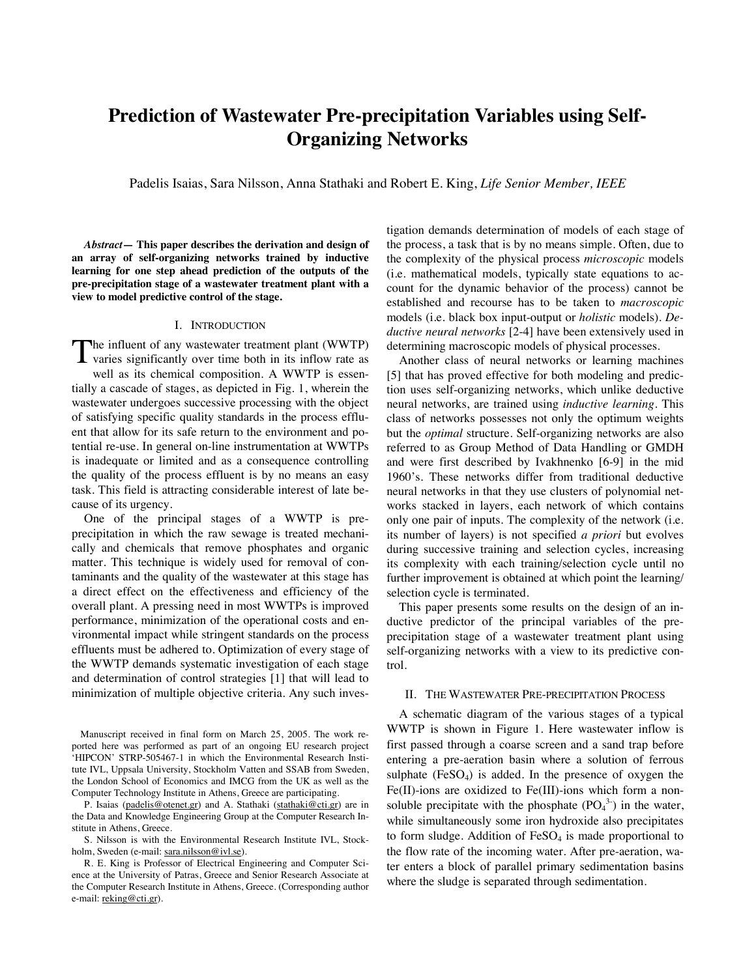# **Prediction of Wastewater Pre-precipitation Variables using Self-Organizing Networks**

Padelis Isaias, Sara Nilsson, Anna Stathaki and Robert E. King, *Life Senior Member, IEEE*

*Abstract***— This paper describes the derivation and design of an array of self-organizing networks trained by inductive learning for one step ahead prediction of the outputs of the pre-precipitation stage of a wastewater treatment plant with a view to model predictive control of the stage.** 

## I. INTRODUCTION

The influent of any wastewater treatment plant (WWTP) varies significantly over time both in its inflow rate as well as its chemical composition. A WWTP is essentially a cascade of stages, as depicted in Fig. 1, wherein the wastewater undergoes successive processing with the object of satisfying specific quality standards in the process effluent that allow for its safe return to the environment and potential re-use. In general on-line instrumentation at WWTPs is inadequate or limited and as a consequence controlling the quality of the process effluent is by no means an easy task. This field is attracting considerable interest of late because of its urgency.  $\bf{l}$ 

 One of the principal stages of a WWTP is preprecipitation in which the raw sewage is treated mechanically and chemicals that remove phosphates and organic matter. This technique is widely used for removal of contaminants and the quality of the wastewater at this stage has a direct effect on the effectiveness and efficiency of the overall plant. A pressing need in most WWTPs is improved performance, minimization of the operational costs and environmental impact while stringent standards on the process effluents must be adhered to. Optimization of every stage of the WWTP demands systematic investigation of each stage and determination of control strategies [1] that will lead to minimization of multiple objective criteria. Any such inves-

Manuscript received in final form on March 25, 2005. The work reported here was performed as part of an ongoing EU research project 'HIPCON' STRP-505467-1 in which the Environmental Research Institute IVL, Uppsala University, Stockholm Vatten and SSAB from Sweden, the London School of Economics and IMCG from the UK as well as the Computer Technology Institute in Athens, Greece are participating.

P. Isaias (padelis@otenet.gr) and A. Stathaki (stathaki@cti.gr) are in the Data and Knowledge Engineering Group at the Computer Research Institute in Athens, Greece.

S. Nilsson is with the Environmental Research Institute IVL, Stockholm, Sweden (e-mail: sara.nilsson@ivl.se).

tigation demands determination of models of each stage of the process, a task that is by no means simple. Often, due to the complexity of the physical process *microscopic* models (i.e. mathematical models, typically state equations to account for the dynamic behavior of the process) cannot be established and recourse has to be taken to *macroscopic* models (i.e. black box input-output or *holistic* models). *Deductive neural networks* [2-4] have been extensively used in determining macroscopic models of physical processes.

 Another class of neural networks or learning machines [5] that has proved effective for both modeling and prediction uses self-organizing networks, which unlike deductive neural networks, are trained using *inductive learning.* This class of networks possesses not only the optimum weights but the *optimal* structure. Self-organizing networks are also referred to as Group Method of Data Handling or GMDH and were first described by Ivakhnenko [6-9] in the mid 1960's. These networks differ from traditional deductive neural networks in that they use clusters of polynomial networks stacked in layers, each network of which contains only one pair of inputs. The complexity of the network (i.e. its number of layers) is not specified *a priori* but evolves during successive training and selection cycles, increasing its complexity with each training/selection cycle until no further improvement is obtained at which point the learning/ selection cycle is terminated.

 This paper presents some results on the design of an inductive predictor of the principal variables of the preprecipitation stage of a wastewater treatment plant using self-organizing networks with a view to its predictive control.

## II. THE WASTEWATER PRE-PRECIPITATION PROCESS

 A schematic diagram of the various stages of a typical WWTP is shown in Figure 1. Here wastewater inflow is first passed through a coarse screen and a sand trap before entering a pre-aeration basin where a solution of ferrous sulphate  $(FeSO<sub>4</sub>)$  is added. In the presence of oxygen the Fe(II)-ions are oxidized to Fe(III)-ions which form a nonsoluble precipitate with the phosphate  $(PO<sub>4</sub><sup>3</sup>)$  in the water, while simultaneously some iron hydroxide also precipitates to form sludge. Addition of  $FeSO<sub>4</sub>$  is made proportional to the flow rate of the incoming water. After pre-aeration, water enters a block of parallel primary sedimentation basins where the sludge is separated through sedimentation.

R. E. King is Professor of Electrical Engineering and Computer Science at the University of Patras, Greece and Senior Research Associate at the Computer Research Institute in Athens, Greece. (Corresponding author e-mail: reking@cti.gr).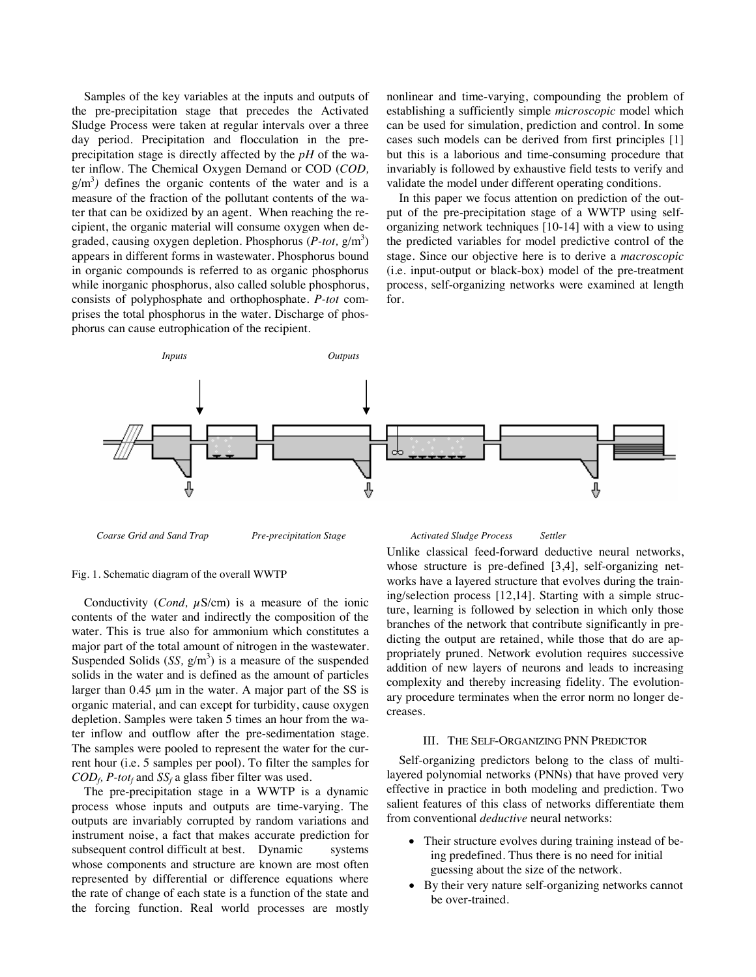Samples of the key variables at the inputs and outputs of the pre-precipitation stage that precedes the Activated Sludge Process were taken at regular intervals over a three day period. Precipitation and flocculation in the preprecipitation stage is directly affected by the *pH* of the water inflow. The Chemical Oxygen Demand or COD (*COD,*   $g/m<sup>3</sup>$ ) defines the organic contents of the water and is a measure of the fraction of the pollutant contents of the water that can be oxidized by an agent. When reaching the recipient, the organic material will consume oxygen when degraded, causing oxygen depletion. Phosphorus (*P-tot*, g/m<sup>3</sup>) appears in different forms in wastewater. Phosphorus bound in organic compounds is referred to as organic phosphorus while inorganic phosphorus, also called soluble phosphorus, consists of polyphosphate and orthophosphate. *P-tot* comprises the total phosphorus in the water. Discharge of phosphorus can cause eutrophication of the recipient.

nonlinear and time-varying, compounding the problem of establishing a sufficiently simple *microscopic* model which can be used for simulation, prediction and control. In some cases such models can be derived from first principles [1] but this is a laborious and time-consuming procedure that invariably is followed by exhaustive field tests to verify and validate the model under different operating conditions.

 In this paper we focus attention on prediction of the output of the pre-precipitation stage of a WWTP using selforganizing network techniques [10-14] with a view to using the predicted variables for model predictive control of the stage. Since our objective here is to derive a *macroscopic* (i.e. input-output or black-box) model of the pre-treatment process, self-organizing networks were examined at length for.



 *Coarse Grid and Sand Trap Pre-precipitation Stage* 

## Fig. 1. Schematic diagram of the overall WWTP

Conductivity (*Cond, µS/cm*) is a measure of the ionic contents of the water and indirectly the composition of the water. This is true also for ammonium which constitutes a major part of the total amount of nitrogen in the wastewater. Suspended Solids  $(SS, g/m<sup>3</sup>)$  is a measure of the suspended solids in the water and is defined as the amount of particles larger than 0.45 μm in the water. A major part of the SS is organic material, and can except for turbidity, cause oxygen depletion. Samples were taken 5 times an hour from the water inflow and outflow after the pre-sedimentation stage. The samples were pooled to represent the water for the current hour (i.e. 5 samples per pool). To filter the samples for  $COD<sub>f</sub>$ , *P-tot<sub>f</sub>* and *SS<sub>f</sub>* a glass fiber filter was used.

 The pre-precipitation stage in a WWTP is a dynamic process whose inputs and outputs are time-varying. The outputs are invariably corrupted by random variations and instrument noise, a fact that makes accurate prediction for subsequent control difficult at best. Dynamic systems whose components and structure are known are most often represented by differential or difference equations where the rate of change of each state is a function of the state and the forcing function. Real world processes are mostly

#### *Activated Sludge Process Settler*

Unlike classical feed-forward deductive neural networks, whose structure is pre-defined [3,4], self-organizing networks have a layered structure that evolves during the training/selection process [12,14]. Starting with a simple structure, learning is followed by selection in which only those branches of the network that contribute significantly in predicting the output are retained, while those that do are appropriately pruned. Network evolution requires successive addition of new layers of neurons and leads to increasing complexity and thereby increasing fidelity. The evolutionary procedure terminates when the error norm no longer decreases.

## III. THE SELF-ORGANIZING PNN PREDICTOR

 Self-organizing predictors belong to the class of multilayered polynomial networks (PNNs) that have proved very effective in practice in both modeling and prediction. Two salient features of this class of networks differentiate them from conventional *deductive* neural networks:

- Their structure evolves during training instead of being predefined. Thus there is no need for initial guessing about the size of the network.
- By their very nature self-organizing networks cannot be over-trained.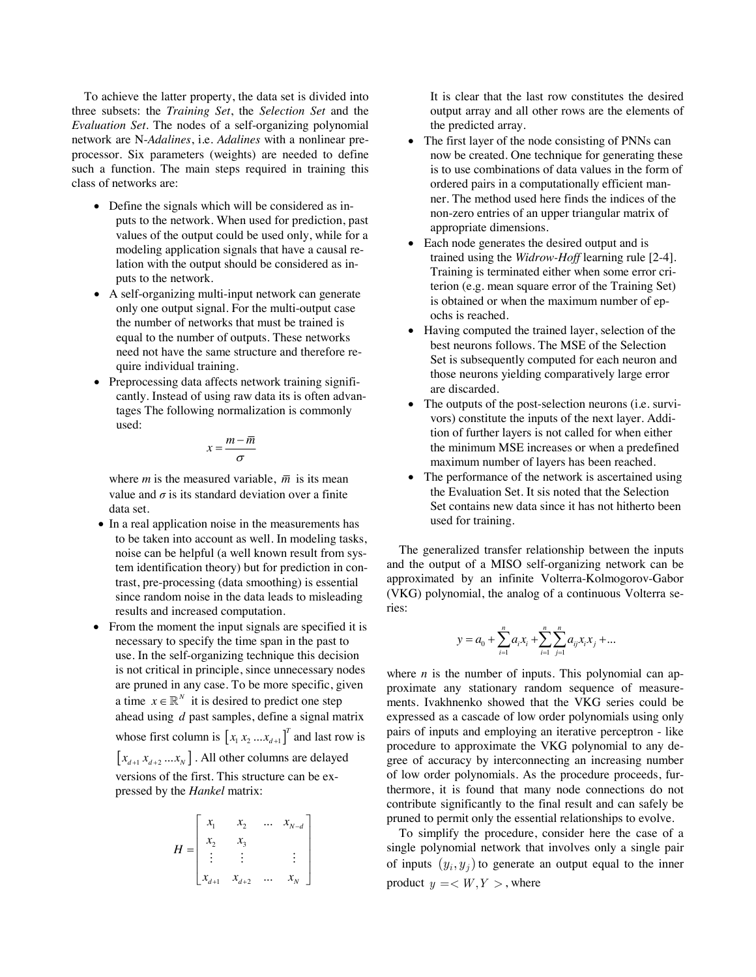To achieve the latter property, the data set is divided into three subsets: the *Training Set*, the *Selection Set* and the *Evaluation Set*. The nodes of a self-organizing polynomial network are N-*Adalines*, i.e. *Adalines* with a nonlinear preprocessor. Six parameters (weights) are needed to define such a function. The main steps required in training this class of networks are:

- Define the signals which will be considered as inputs to the network. When used for prediction, past values of the output could be used only, while for a modeling application signals that have a causal relation with the output should be considered as inputs to the network.
- A self-organizing multi-input network can generate only one output signal. For the multi-output case the number of networks that must be trained is equal to the number of outputs. These networks need not have the same structure and therefore require individual training.
- Preprocessing data affects network training significantly. Instead of using raw data its is often advantages The following normalization is commonly used:

$$
x = \frac{m - \overline{m}}{\sigma}
$$

where *m* is the measured variable,  $\overline{m}$  is its mean value and  $\sigma$  is its standard deviation over a finite data set.

- In a real application noise in the measurements has to be taken into account as well. In modeling tasks, noise can be helpful (a well known result from system identification theory) but for prediction in contrast, pre-processing (data smoothing) is essential since random noise in the data leads to misleading results and increased computation.
- From the moment the input signals are specified it is necessary to specify the time span in the past to use. In the self-organizing technique this decision is not critical in principle, since unnecessary nodes are pruned in any case. To be more specific, given a time  $x \in \mathbb{R}^N$  it is desired to predict one step ahead using *d* past samples, define a signal matrix whose first column is  $\left[ x_1 x_2 ... x_{d+1} \right]^T$  and last row is  $[x_{d+1} x_{d+2} ... x_N]$ . All other columns are delayed versions of the first. This structure can be expressed by the *Hankel* matrix:

$$
H = \begin{bmatrix} x_1 & x_2 & \dots & x_{N-d} \\ x_2 & x_3 & & \\ \vdots & \vdots & & \vdots \\ x_{d+1} & x_{d+2} & \dots & x_N \end{bmatrix}
$$

It is clear that the last row constitutes the desired output array and all other rows are the elements of the predicted array.

- The first layer of the node consisting of PNNs can now be created. One technique for generating these is to use combinations of data values in the form of ordered pairs in a computationally efficient manner. The method used here finds the indices of the non-zero entries of an upper triangular matrix of appropriate dimensions.
- Each node generates the desired output and is trained using the *Widrow-Hoff* learning rule [2-4]. Training is terminated either when some error criterion (e.g. mean square error of the Training Set) is obtained or when the maximum number of epochs is reached.
- Having computed the trained layer, selection of the best neurons follows. The MSE of the Selection Set is subsequently computed for each neuron and those neurons yielding comparatively large error are discarded.
- The outputs of the post-selection neurons (i.e. survivors) constitute the inputs of the next layer. Addition of further layers is not called for when either the minimum MSE increases or when a predefined maximum number of layers has been reached.
- The performance of the network is ascertained using the Evaluation Set. It sis noted that the Selection Set contains new data since it has not hitherto been used for training.

 The generalized transfer relationship between the inputs and the output of a MISO self-organizing network can be approximated by an infinite Volterra-Kolmogorov-Gabor (VKG) polynomial, the analog of a continuous Volterra series:

$$
y = a_0 + \sum_{i=1}^n a_i x_i + \sum_{i=1}^n \sum_{j=1}^n a_{ij} x_i x_j + \dots
$$

where  $n$  is the number of inputs. This polynomial can approximate any stationary random sequence of measurements. Ivakhnenko showed that the VKG series could be expressed as a cascade of low order polynomials using only pairs of inputs and employing an iterative perceptron - like procedure to approximate the VKG polynomial to any degree of accuracy by interconnecting an increasing number of low order polynomials. As the procedure proceeds, furthermore, it is found that many node connections do not contribute significantly to the final result and can safely be pruned to permit only the essential relationships to evolve.

 To simplify the procedure, consider here the case of a single polynomial network that involves only a single pair of inputs  $(y_i, y_j)$  to generate an output equal to the inner product  $y = \langle W, Y \rangle$ , where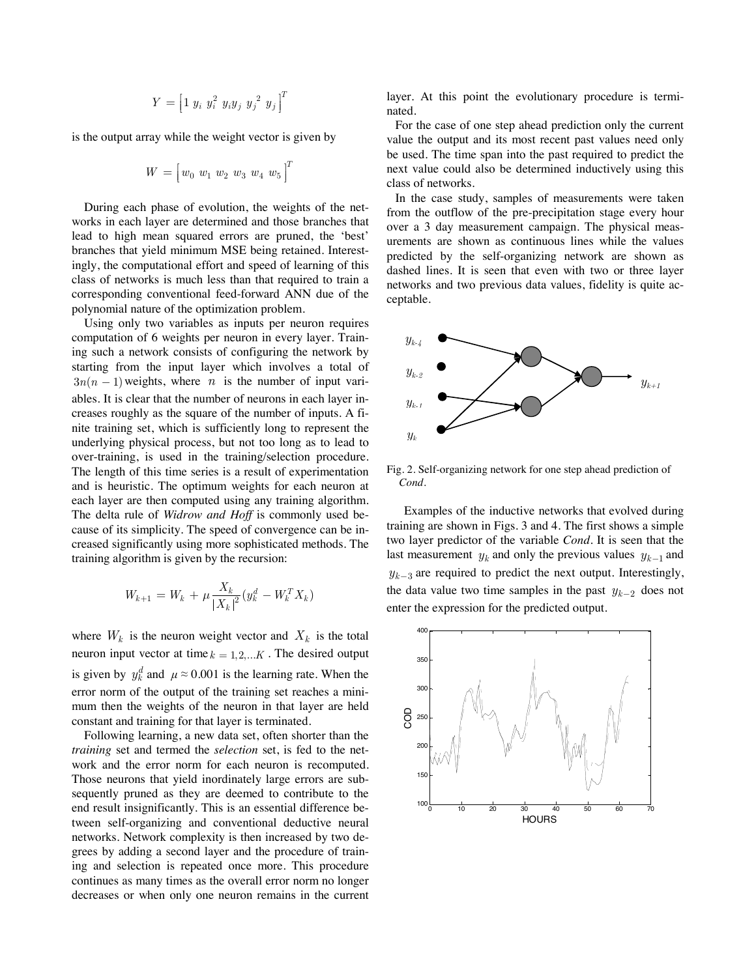$$
Y = \left[1 \ y_i \ y_i^2 \ y_i y_j \ y_j^2 \ y_j\right]^T
$$

is the output array while the weight vector is given by

$$
W = \begin{bmatrix} w_0 & w_1 & w_2 & w_3 & w_4 & w_5 \end{bmatrix}^T
$$

 During each phase of evolution, the weights of the networks in each layer are determined and those branches that lead to high mean squared errors are pruned, the 'best' branches that yield minimum MSE being retained. Interestingly, the computational effort and speed of learning of this class of networks is much less than that required to train a corresponding conventional feed-forward ANN due of the polynomial nature of the optimization problem.

 Using only two variables as inputs per neuron requires computation of 6 weights per neuron in every layer. Training such a network consists of configuring the network by starting from the input layer which involves a total of  $3n(n - 1)$  weights, where *n* is the number of input variables. It is clear that the number of neurons in each layer increases roughly as the square of the number of inputs. A finite training set, which is sufficiently long to represent the underlying physical process, but not too long as to lead to over-training, is used in the training/selection procedure. The length of this time series is a result of experimentation and is heuristic. The optimum weights for each neuron at each layer are then computed using any training algorithm. The delta rule of *Widrow and Hoff* is commonly used because of its simplicity. The speed of convergence can be increased significantly using more sophisticated methods. The training algorithm is given by the recursion:

$$
W_{k+1} = W_k + \mu \frac{X_k}{|X_k|^2} (y_k^d - W_k^T X_k)
$$

where  $W_k$  is the neuron weight vector and  $X_k$  is the total neuron input vector at time  $k = 1, 2, \dots K$ . The desired output is given by  $y_k^d$  and  $\mu \approx 0.001$  is the learning rate. When the error norm of the output of the training set reaches a minimum then the weights of the neuron in that layer are held constant and training for that layer is terminated.

 Following learning, a new data set, often shorter than the *training* set and termed the *selection* set, is fed to the network and the error norm for each neuron is recomputed. Those neurons that yield inordinately large errors are subsequently pruned as they are deemed to contribute to the end result insignificantly. This is an essential difference between self-organizing and conventional deductive neural networks. Network complexity is then increased by two degrees by adding a second layer and the procedure of training and selection is repeated once more. This procedure continues as many times as the overall error norm no longer decreases or when only one neuron remains in the current layer. At this point the evolutionary procedure is terminated.

For the case of one step ahead prediction only the current value the output and its most recent past values need only be used. The time span into the past required to predict the next value could also be determined inductively using this class of networks.

In the case study, samples of measurements were taken from the outflow of the pre-precipitation stage every hour over a 3 day measurement campaign. The physical measurements are shown as continuous lines while the values predicted by the self-organizing network are shown as dashed lines. It is seen that even with two or three layer networks and two previous data values, fidelity is quite acceptable.



Fig. 2. Self-organizing network for one step ahead prediction of *Cond*.

Examples of the inductive networks that evolved during training are shown in Figs. 3 and 4. The first shows a simple two layer predictor of the variable *Cond*. It is seen that the last measurement  $y_k$  and only the previous values  $y_{k-1}$  and  $y_{k-3}$  are required to predict the next output. Interestingly, the data value two time samples in the past  $y_{k-2}$  does not enter the expression for the predicted output.

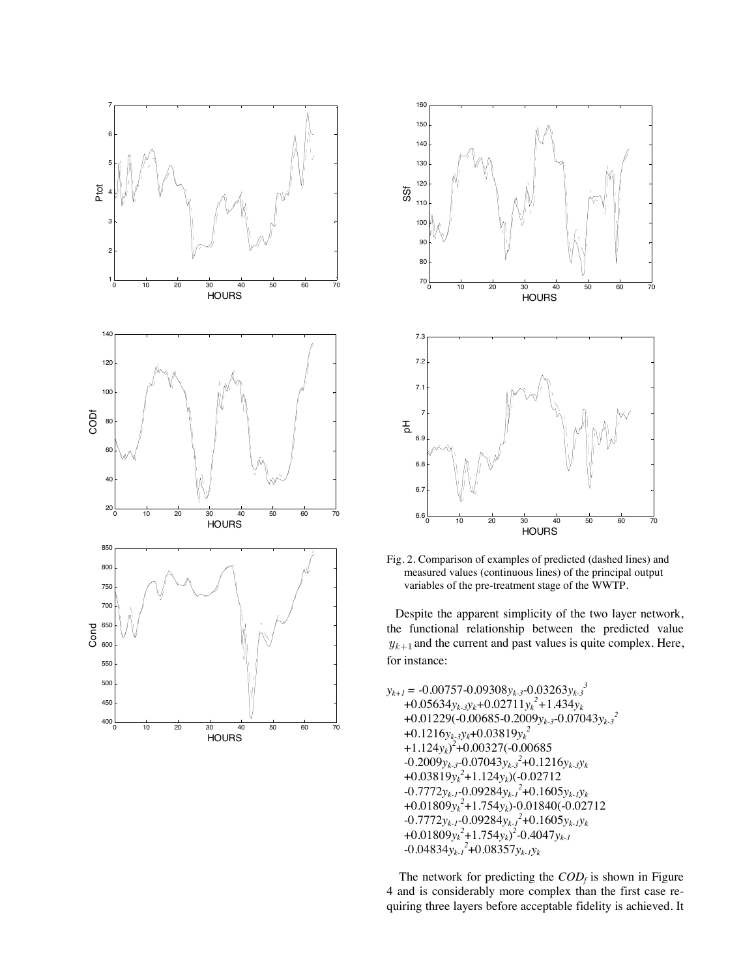



Fig. 2. Comparison of examples of predicted (dashed lines) and measured values (continuous lines) of the principal output variables of the pre-treatment stage of the WWTP.

Despite the apparent simplicity of the two layer network, the functional relationship between the predicted value  $y_{k+1}$  and the current and past values is quite complex. Here, for instance:

 $y_{k+1} = -0.00757 - 0.09308y_{k-3} - 0.03263y_{k-3}^{3}$ +0.05634*yk-3yk+*0.02711*yk 2 +*1.434*yk*  +0.01229(-0.00685-0.2009*yk-3*-0.07043*yk-32*  +0.1216*yk-3yk*+0.03819*yk 2*  +1.124*yk*) *2* +0.00327(-0.00685  $-0.2009y_{k-3}$ -0.07043 $y_{k-3}$ <sup>2</sup>+0.1216 $y_{k-3}y_k$ +0.03819*yk 2* +1.124*yk*)(-0.02712 -0.7772*yk-1-*0.09284*yk-12* +0.1605*yk-1yk*  +0.01809*yk 2* +1.754*yk*)*-*0.01840(-0.02712 -0.7772*yk-1-*0.09284*yk-12* +0.1605*yk-1yk*  $+0.01809y_k^2+1.754y_k)^2-0.4047y_{k-1}$  $-0.04834y_{k-l}^2+0.08357y_{k-l}y_k$ 

The network for predicting the  $COD<sub>f</sub>$  is shown in Figure 4 and is considerably more complex than the first case requiring three layers before acceptable fidelity is achieved. It